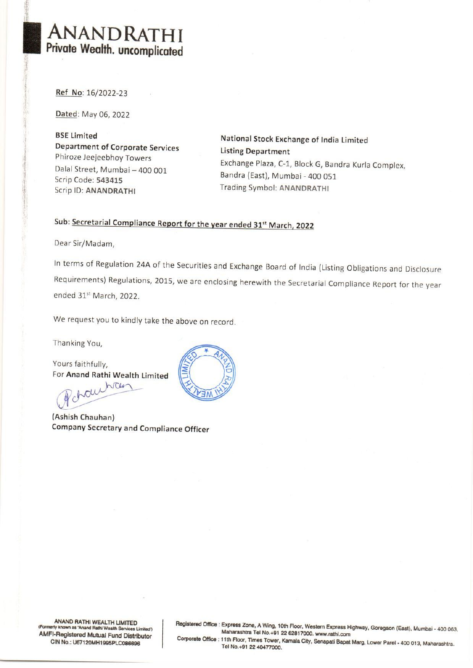# Private Wealth. uncomplicated ANANDRATHI

Ref No: 16/2022-23

Dated: May 06, 2022

BSE Limited National Stock Exchange of India Limited<br>Department of Corporate Services Listing Department<br>Phiroze Jeejeebhoy Towers Dalal Street, Mumbai — 400 001 Scrip Code: 543415 Scrip ID: ANANDRATHI

Exchange Plaza, C-1, Block G, Bandra Kurla Complex, Bandra (East), Mumbai - 400 051 Trading Symbol: ANANDRATHI

## Sub: Secretarial Compliance Report for the year ended 31<sup>st</sup> March, 2022

Dear Sir/Madam,

In terms of Regulation 24A of the Securities and Exchange Board of India (Listing Obligations and Disclosure Requirements) Regulations, 2015, we are enclosing herewith the Secretarial Compliance Report for the year ended 31<sup>st</sup> March, 2022.

We request you to kindly take the above on record.

Thanking You,

Yours faithfully, For Anand Rathi Wealth Limited

ichauchan  $\sim$ 

(Ashish Chauhan) Company Secretary and Compliance Officer



ANAND RATHI WEALTH LIMITED<br>
(Formerly known as 'Anand Rathi Wealth Services Limited')<br>
Maharashtra Tel No.+91 22 62817000. www.rathi.com<br>
Corporate Office : 11th Floor, Times Tower, Kamala City, Senapati Bapat Marg, Lower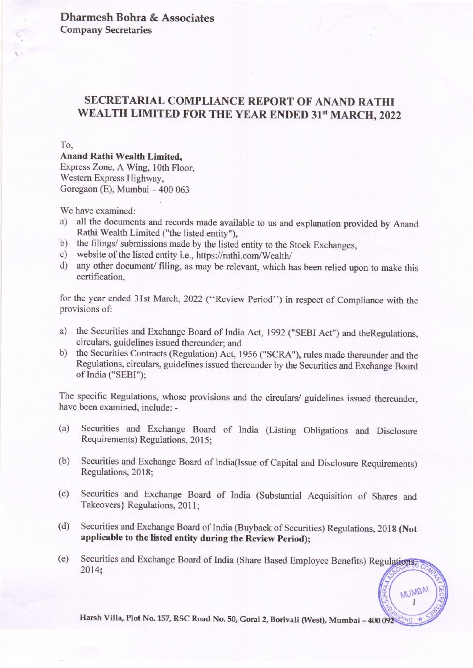Dharmesh Bohra & Associates Company Secretaries

# SECRETARIAL COMPLIANCE REPORT OF ANAND RATHI WEALTH LIMITED FOR THE YEAR ENDED 31<sup>st</sup> MARCH, 2022

#### To,

#### Anand Rathi Wealth Limited,

Express Zone, A Wing, 10th Floor, Western Express Highway, Goregaon (E), Mumbai — 400 063

We have examined:

- a) all the documents and records made available to us and explanation provided by Anand Rathi Wealth Limited ("the listed entity"),
- b) the filings/ submissions made by the listed entity to the Stock Exchanges,
- c) website of the listed entity i.e., https://rathi.com/Wealth/
- $\mathbf{u}$ any other document/ filing, as may be relevant, which has been relied upon to make this certification,

for the year ended 31st March, 2022 ('Review Period'') in respect of Compliance with the provisions of:

- a) the Securities and Exchange Board of India Act, 1992 ("SEBI Act") and theRegulations, circulars, guidelines issued thereunder; and
- b) the Securities Contracts (Regulation) Act, 1956 ("SCRA"), rules made thereunder and the Regulations, circulars, guidelines issued thereunder by the Securities and Exchange Board Regulations, circulars, guidelines issued thereunder by the Securities and Exchange Board of India ("SEBI");

The specific Regulations, whose provisions and the circulars/ guidelines issued thereunder, have been examined, include: -

- (a) Securities and Exchange Board of India (Listing Obligations and Disclosure Requirements) Regulations, 2015;
- (b) Securities and Exchange Board of India(Issue of Capital and Disclosure Requirements) Regulations, 2018;
- $(c)$ Securities and Exchange Board of India (Substantial Acquisition of Shares and Takeovers} Regulations, 2011;
- (d) Securities and Exchange Board of India (Buyback of Securities) Regulations, 2018 (Not applicable to the listed entity during the Review Period);
- (e) Securities and Exchange Board of India (Share Based Employee Benefits) Regulations 2014;

Harsh Villa, Plot No. 157, RSC Road No. 50, Gorai 2, Borivali (West), Mumbai - 400 092

MUMBAI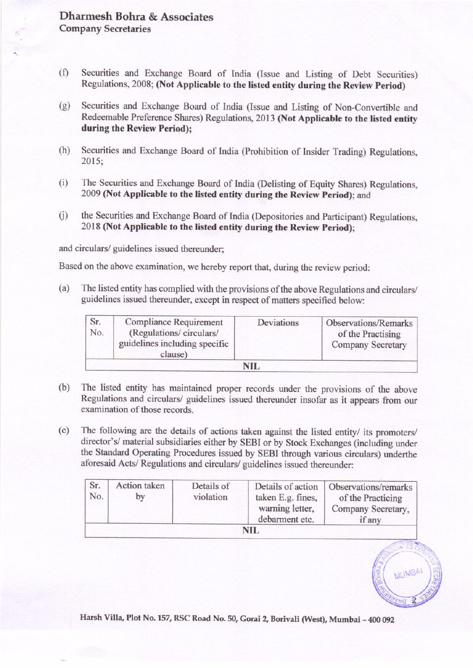#### Dharmesh Bohra & Associates Company Secretaries

- (f) Securities and Exchange Board of India (Issue and Listing of Debt Securities) Regulations, 2008; (Not Applicable to the listed entity during the Review Period)
- (g) Securities and Exchange Board of India (Issue and Listing of Non-Convertible and Redeemable Preference Shares) Regulations, 2013 (Not Applicable to the listed entity during the Review Period); mesh Bohra & Associates<br>any Secretaries<br>any Secretaries<br>decurities and Exchange Board of India<br>degulations, 2008; (Not Applicable to the l<br>decurities and Exchange Board of India (P<br>decurities and Exchange Board of India (P
- (h) Securities and Exchange Board of India (Prohibition of Insider Trading) Regulations, 2015;
- (i) The Securities and Exchange Board of India (Delisting of Equity Shares) Regulations, 2009 (Not Applicable to the listed entity during the Review Period); and
- (j) \_ the Securities and Exchange Board of India (Depositories and Participant) Regulations, 2018 (Not Applicable to the listed entity during the Review Period);

and circulars/ guidelines issued thereunder;

Based on the above examination, we hereby report that, during the review period:

(a) The listed entity has complied with the provisions of the above Regulations and circulars/ guidelines issued thereunder, except in respect of matters specified below:

|            | MITA OCCTCIMITCO                                                                                      |                         |                                                                                   |                                                                                                                                                                                                                                                                                                                                                                                                                                                           |
|------------|-------------------------------------------------------------------------------------------------------|-------------------------|-----------------------------------------------------------------------------------|-----------------------------------------------------------------------------------------------------------------------------------------------------------------------------------------------------------------------------------------------------------------------------------------------------------------------------------------------------------------------------------------------------------------------------------------------------------|
|            |                                                                                                       |                         | Regulations, 2008; (Not Applicable to the listed entity during the Review Period) | Securities and Exchange Board of India (Issue and Listing of Debt Securities)                                                                                                                                                                                                                                                                                                                                                                             |
|            | luring the Review Period);                                                                            |                         |                                                                                   | Securities and Exchange Board of India (Issue and Listing of Non-Convertible and<br>Redeemable Preference Shares) Regulations, 2013 (Not Applicable to the listed entity                                                                                                                                                                                                                                                                                  |
| 2015;      |                                                                                                       |                         |                                                                                   | Securities and Exchange Board of India (Prohibition of Insider Trading) Regulations,                                                                                                                                                                                                                                                                                                                                                                      |
|            |                                                                                                       |                         | 009 (Not Applicable to the listed entity during the Review Period); and           | The Securities and Exchange Board of India (Delisting of Equity Shares) Regulations,                                                                                                                                                                                                                                                                                                                                                                      |
|            |                                                                                                       |                         | 2018 (Not Applicable to the listed entity during the Review Period);              | he Securities and Exchange Board of India (Depositories and Participant) Regulations,                                                                                                                                                                                                                                                                                                                                                                     |
|            | culars/ guidelines issued thereunder;                                                                 |                         |                                                                                   |                                                                                                                                                                                                                                                                                                                                                                                                                                                           |
|            |                                                                                                       |                         | on the above examination, we hereby report that, during the review period:        |                                                                                                                                                                                                                                                                                                                                                                                                                                                           |
|            |                                                                                                       |                         | quidelines issued thereunder, except in respect of matters specified below:       | The listed entity has complied with the provisions of the above Regulations and circulars/                                                                                                                                                                                                                                                                                                                                                                |
| Sr.<br>No. | <b>Compliance Requirement</b><br>(Regulations/ circulars/<br>guidelines including specific<br>clause) |                         | Deviations                                                                        | Observations/Remarks<br>of the Practising<br>Company Secretary                                                                                                                                                                                                                                                                                                                                                                                            |
|            |                                                                                                       |                         | <b>NIL</b>                                                                        |                                                                                                                                                                                                                                                                                                                                                                                                                                                           |
|            | xamination of those records.                                                                          |                         | foresaid Acts/ Regulations and circulars/ guidelines issued thereunder:           | The listed entity has maintained proper records under the provisions of the above<br>Regulations and circulars/ guidelines issued thereunder insofar as it appears from our<br>The following are the details of actions taken against the listed entity/ its promoters/<br>lirector's/ material subsidiaries either by SEBI or by Stock Exchanges (including under<br>he Standard Operating Procedures issued by SEBI through various circulars) underthe |
| Sr.<br>No. | <b>Action</b> taken<br>by                                                                             | Details of<br>violation | Details of action<br>taken E.g. fines,<br>warning letter,<br>debarment etc.       | Observations/remarks<br>of the Practicing<br>Company Secretary,<br>if any                                                                                                                                                                                                                                                                                                                                                                                 |

- (b) The listed entity has maintained proper records under the provisions of the above Regulations and circulars/ guidelines issued thereunder insofar as it appears from our examination of those records.
- (c) The following are the details of actions taken against the listed entity/ its promoters/<br>director's/ material subsidiaries either by SEBI or by Stock Exchanges (including under<br>the Standard Operating Procedures issued aforesaid Acts/ Regulations and circulars/ guidelines issued thereunder:

| Sr.<br>No. | Action taken<br>bv | Details of<br>violation | Details of action<br>taken E.g. fines,<br>warning letter,<br>debarment etc. | Observations/remarks<br>of the Practicing<br>Company Secretary,<br>if any |
|------------|--------------------|-------------------------|-----------------------------------------------------------------------------|---------------------------------------------------------------------------|
|            |                    |                         | NIL                                                                         |                                                                           |

MUMBAI 100 092

Harsh Villa, Plot No. 157, RSC Road No. 50, Gorai 2, Borivali (West), Mumbai - 400 092